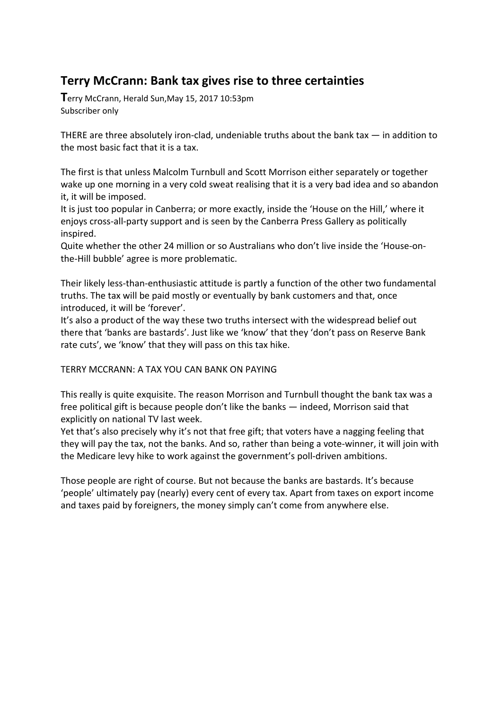## **Terry McCrann: Bank tax gives rise to three certainties**

**T**erry McCrann, Herald Sun,May 15, 2017 10:53pm Subscriber only

THERE are three absolutely iron-clad, undeniable truths about the bank tax  $-$  in addition to the most basic fact that it is a tax.

The first is that unless Malcolm Turnbull and Scott Morrison either separately or together wake up one morning in a very cold sweat realising that it is a very bad idea and so abandon it, it will be imposed.

It is just too popular in Canberra; or more exactly, inside the 'House on the Hill,' where it enjoys cross-all-party support and is seen by the Canberra Press Gallery as politically inspired.

Quite whether the other 24 million or so Australians who don't live inside the 'House-onthe-Hill bubble' agree is more problematic.

Their likely less-than-enthusiastic attitude is partly a function of the other two fundamental truths. The tax will be paid mostly or eventually by bank customers and that, once introduced, it will be 'forever'.

It's also a product of the way these two truths intersect with the widespread belief out there that 'banks are bastards'. Just like we 'know' that they 'don't pass on Reserve Bank rate cuts', we 'know' that they will pass on this tax hike.

## TERRY MCCRANN: A TAX YOU CAN BANK ON PAYING

This really is quite exquisite. The reason Morrison and Turnbull thought the bank tax was a free political gift is because people don't like the banks — indeed, Morrison said that explicitly on national TV last week.

Yet that's also precisely why it's not that free gift; that voters have a nagging feeling that they will pay the tax, not the banks. And so, rather than being a vote-winner, it will join with the Medicare levy hike to work against the government's poll-driven ambitions.

Those people are right of course. But not because the banks are bastards. It's because 'people' ultimately pay (nearly) every cent of every tax. Apart from taxes on export income and taxes paid by foreigners, the money simply can't come from anywhere else.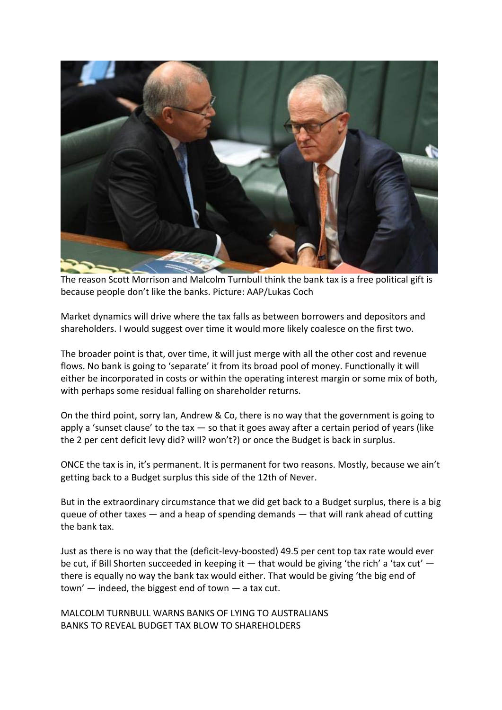

The reason Scott Morrison and Malcolm Turnbull think the bank tax is a free political gift is because people don't like the banks. Picture: AAP/Lukas Coch

Market dynamics will drive where the tax falls as between borrowers and depositors and shareholders. I would suggest over time it would more likely coalesce on the first two.

The broader point is that, over time, it will just merge with all the other cost and revenue flows. No bank is going to 'separate' it from its broad pool of money. Functionally it will either be incorporated in costs or within the operating interest margin or some mix of both, with perhaps some residual falling on shareholder returns.

On the third point, sorry Ian, Andrew & Co, there is no way that the government is going to apply a 'sunset clause' to the tax  $-$  so that it goes away after a certain period of years (like the 2 per cent deficit levy did? will? won't?) or once the Budget is back in surplus.

ONCE the tax is in, it's permanent. It is permanent for two reasons. Mostly, because we ain't getting back to a Budget surplus this side of the 12th of Never.

But in the extraordinary circumstance that we did get back to a Budget surplus, there is a big queue of other taxes  $-$  and a heap of spending demands  $-$  that will rank ahead of cutting the bank tax.

Just as there is no way that the (deficit-levy-boosted) 49.5 per cent top tax rate would ever be cut, if Bill Shorten succeeded in keeping it  $-$  that would be giving 'the rich' a 'tax cut'  $$ there is equally no way the bank tax would either. That would be giving 'the big end of town' — indeed, the biggest end of town — a tax cut.

MALCOLM TURNBULL WARNS BANKS OF LYING TO AUSTRALIANS BANKS TO REVEAL BUDGET TAX BLOW TO SHAREHOLDERS